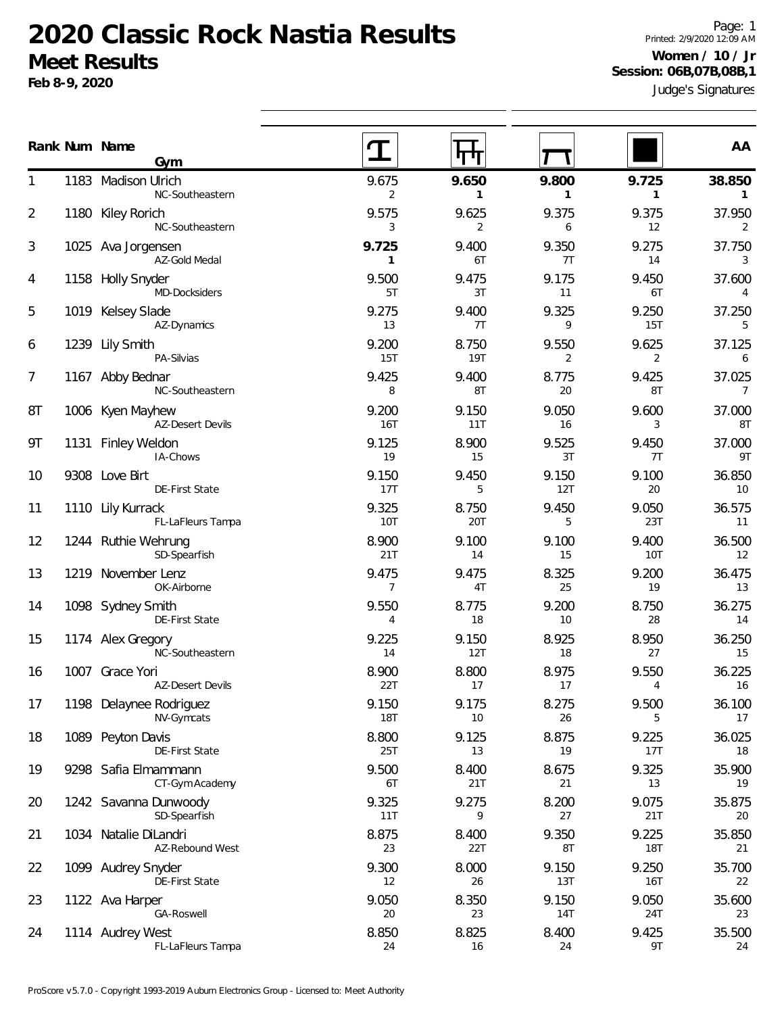**Feb 8-9, 2020**

Judge's Signatures Page: 1 Printed: 2/9/2020 12:09 AM **Women / 10 / Jr Session: 06B,07B,08B,1**

|    | Rank Num Name<br>Gym                        |                         | गण                  |                       |                       | AA                          |
|----|---------------------------------------------|-------------------------|---------------------|-----------------------|-----------------------|-----------------------------|
| 1  | 1183 Madison Ulrich<br>NC-Southeastern      | 9.675<br>$\overline{2}$ | 9.650<br>1          | 9.800<br>$\mathbf{1}$ | 9.725<br>$\mathbf{1}$ | 38.850<br>$\mathbf{1}$      |
| 2  | 1180 Kiley Rorich<br>NC-Southeastern        | 9.575<br>3              | 9.625<br>2          | 9.375<br>6            | 9.375<br>12           | 37.950<br>2                 |
| 3  | 1025 Ava Jorgensen<br>AZ-Gold Medal         | 9.725<br>$\mathbf{1}$   | 9.400<br>6T         | 9.350<br>7T           | 9.275<br>14           | 37.750<br>3                 |
| 4  | 1158 Holly Snyder<br>MD-Docksiders          | 9.500<br>5T             | 9.475<br>3T         | 9.175<br>11           | 9.450<br>6T           | 37.600<br>4                 |
| 5  | 1019 Kelsey Slade<br>AZ-Dynamics            | 9.275<br>13             | 9.400<br>7T         | 9.325<br>9            | 9.250<br>15T          | 37.250<br>5                 |
| 6  | 1239 Lily Smith<br>PA-Silvias               | 9.200<br>15T            | 8.750<br><b>19T</b> | 9.550<br>2            | 9.625<br>2            | 37.125<br>6                 |
| 7  | 1167 Abby Bednar<br>NC-Southeastern         | 9.425<br>8              | 9.400<br>8T         | 8.775<br>20           | 9.425<br>8T           | 37.025<br>$\overline{7}$    |
| 8T | 1006 Kyen Mayhew<br><b>AZ-Desert Devils</b> | 9.200<br><b>16T</b>     | 9.150<br>11T        | 9.050<br>16           | 9.600<br>3            | 37.000<br>8T                |
| 9T | 1131 Finley Weldon<br>IA-Chows              | 9.125<br>19             | 8.900<br>15         | 9.525<br>3T           | 9.450<br>7T           | 37.000<br>9T                |
| 10 | 9308 Love Birt<br>DE-First State            | 9.150<br>17T            | 9.450<br>5          | 9.150<br>12T          | 9.100<br>20           | 36.850<br>10                |
| 11 | 1110 Lily Kurrack<br>FL-LaFleurs Tampa      | 9.325<br>10T            | 8.750<br>20T        | 9.450<br>5            | 9.050<br>23T          | 36.575<br>11                |
| 12 | 1244 Ruthie Wehrung<br>SD-Spearfish         | 8.900<br>21T            | 9.100<br>14         | 9.100<br>15           | 9.400<br>10T          | 36.500<br>$12 \overline{ }$ |
| 13 | 1219 November Lenz<br>OK-Airborne           | 9.475<br>7              | 9.475<br>4T         | 8.325<br>25           | 9.200<br>19           | 36.475<br>13                |
| 14 | 1098 Sydney Smith<br>DE-First State         | 9.550<br>4              | 8.775<br>18         | 9.200<br>10           | 8.750<br>28           | 36.275<br>14                |
| 15 | 1174 Alex Gregory<br>NC-Southeastern        | 9.225<br>14             | 9.150<br>12T        | 8.925<br>18           | 8.950<br>27           | 36.250<br>15                |
| 16 | 1007 Grace Yori<br><b>AZ-Desert Devils</b>  | 8.900<br>22T            | 8.800<br>17         | 8.975<br>17           | 9.550<br>4            | 36.225<br>16                |
| 17 | 1198 Delaynee Rodriguez<br>NV-Gymcats       | 9.150<br><b>18T</b>     | 9.175<br>10         | 8.275<br>26           | 9.500<br>5            | 36.100<br>17                |
| 18 | 1089 Peyton Davis<br>DE-First State         | 8.800<br>25T            | 9.125<br>13         | 8.875<br>19           | 9.225<br>17T          | 36.025<br>18                |
| 19 | 9298 Safia Elmammann<br>CT-Gym Academy      | 9.500<br>6T             | 8.400<br>21T        | 8.675<br>21           | 9.325<br>13           | 35.900<br>19                |
| 20 | 1242 Savanna Dunwoody<br>SD-Spearfish       | 9.325<br>11T            | 9.275<br>9          | 8.200<br>27           | 9.075<br>21T          | 35.875<br>20                |
| 21 | 1034 Natalie DiLandri<br>AZ-Rebound West    | 8.875<br>23             | 8.400<br>22T        | 9.350<br>8T           | 9.225<br>18T          | 35.850<br>21                |
| 22 | 1099 Audrey Snyder<br>DE-First State        | 9.300<br>12             | 8.000<br>26         | 9.150<br>13T          | 9.250<br>16T          | 35.700<br>22                |
| 23 | 1122 Ava Harper<br>GA-Roswell               | 9.050<br>20             | 8.350<br>23         | 9.150<br>14T          | 9.050<br>24T          | 35.600<br>23                |
| 24 | 1114 Audrey West<br>FL-LaFleurs Tampa       | 8.850<br>24             | 8.825<br>16         | 8.400<br>24           | 9.425<br>9T           | 35.500<br>24                |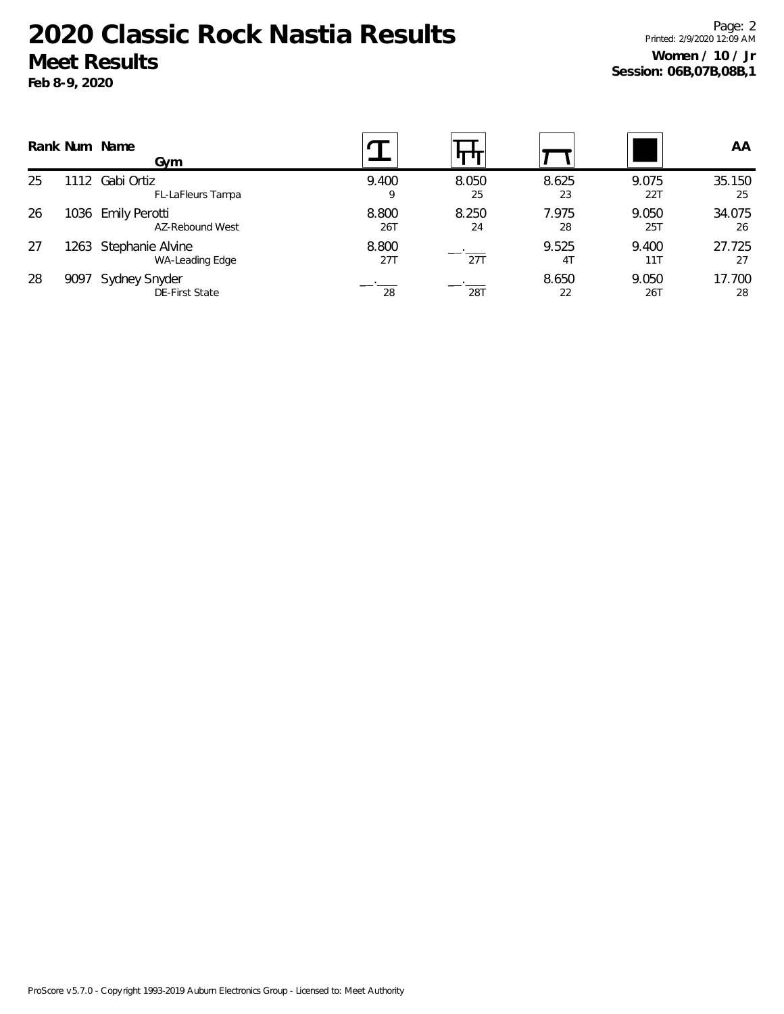**Feb 8-9, 2020**

Page: 2 Printed: 2/9/2020 12:09 AM **Women / 10 / Jr Session: 06B,07B,08B,1**

|    |      | Rank Num Name<br>Gym                  |              |             |                         |                     | AA           |
|----|------|---------------------------------------|--------------|-------------|-------------------------|---------------------|--------------|
| 25 | 12   | Gabi Ortiz<br>FL-LaFleurs Tampa       | 9.400<br>9   | 8.050<br>25 | 8.625<br>23             | 9.075<br><b>22T</b> | 35.150<br>25 |
| 26 |      | 1036 Emily Perotti<br>AZ-Rebound West | 8.800<br>26T | 8.250<br>24 | 7.975<br>28             | 9.050<br>25T        | 34.075<br>26 |
| 27 | 1263 | Stephanie Alvine<br>WA-Leading Edge   | 8.800<br>27T | 27T         | 9.525<br>4 <sub>T</sub> | 9.400<br>111        | 27.725<br>27 |
| 28 | 9097 | Sydney Snyder<br>DE-First State       | 28           | 28T         | 8.650<br>22             | 9.050<br>26T        | 17.700<br>28 |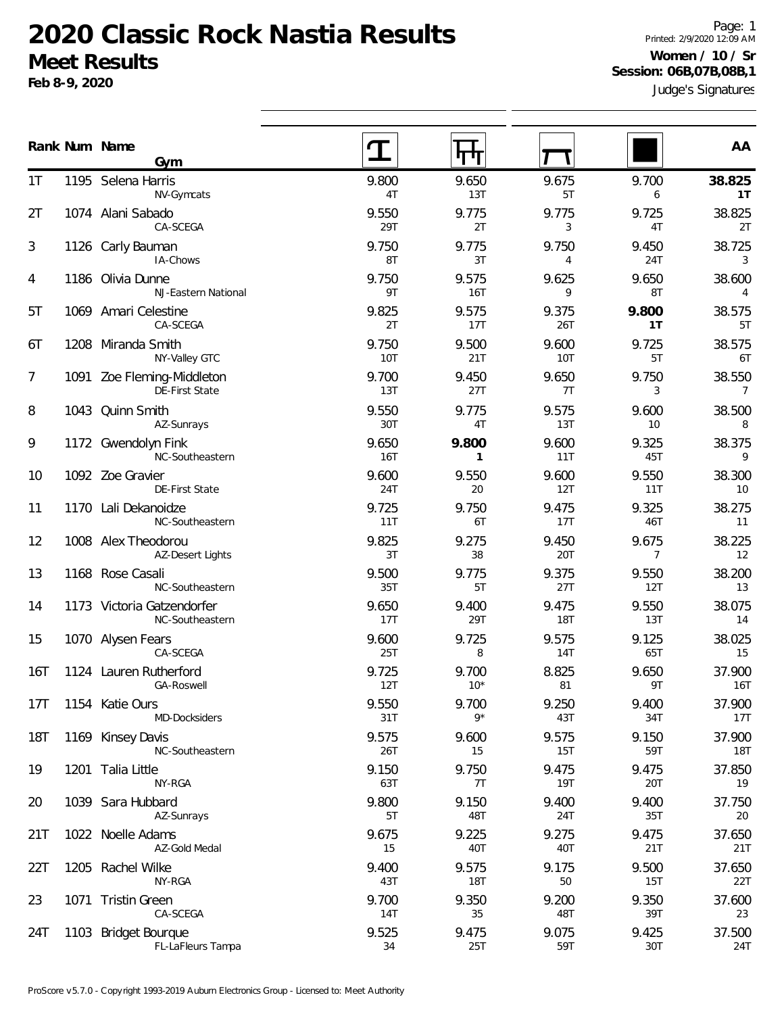**Feb 8-9, 2020**

Judge's Signatures Page: 1 Printed: 2/9/2020 12:09 AM **Women / 10 / Sr Session: 06B,07B,08B,1**

|                 | Rank Num Name<br>Gym                           |                     | माण                   |                     |                         | AA                       |
|-----------------|------------------------------------------------|---------------------|-----------------------|---------------------|-------------------------|--------------------------|
| 1T              | 1195 Selena Harris<br>NV-Gymcats               | 9.800<br>4T         | 9.650<br>13T          | 9.675<br>5T         | 9.700<br>6              | 38.825<br>1T             |
| 2T              | 1074 Alani Sabado<br>CA-SCEGA                  | 9.550<br>29T        | 9.775<br>2T           | 9.775<br>3          | 9.725<br>4T             | 38.825<br>2T             |
| 3               | 1126 Carly Bauman<br>IA-Chows                  | 9.750<br>8T         | 9.775<br>3T           | 9.750<br>4          | 9.450<br>24T            | 38.725<br>3              |
| 4               | 1186 Olivia Dunne<br>NJ-Eastern National       | 9.750<br>9T         | 9.575<br><b>16T</b>   | 9.625<br>9          | 9.650<br>8T             | 38.600<br>$\overline{4}$ |
| 5T              | 1069 Amari Celestine<br>CA-SCEGA               | 9.825<br>2T         | 9.575<br>17T          | 9.375<br>26T        | 9.800<br>1T             | 38.575<br>5T             |
| 6T              | 1208 Miranda Smith<br>NY-Valley GTC            | 9.750<br><b>10T</b> | 9.500<br>21T          | 9.600<br>10T        | 9.725<br>5T             | 38.575<br>6T             |
| 7               | 1091 Zoe Fleming-Middleton<br>DE-First State   | 9.700<br>13T        | 9.450<br>27T          | 9.650<br>7T         | 9.750<br>3              | 38.550<br>$\overline{7}$ |
| 8               | 1043 Quinn Smith<br>AZ-Sunrays                 | 9.550<br>30T        | 9.775<br>4T           | 9.575<br>13T        | 9.600<br>10             | 38.500<br>8              |
| 9               | 1172 Gwendolyn Fink<br>NC-Southeastern         | 9.650<br><b>16T</b> | 9.800<br>$\mathbf{1}$ | 9.600<br>11T        | 9.325<br>45T            | 38.375<br>9              |
| 10              | 1092 Zoe Gravier<br>DE-First State             | 9.600<br>24T        | 9.550<br>20           | 9.600<br>12T        | 9.550<br>11T            | 38.300<br>10             |
| 11              | 1170 Lali Dekanoidze<br>NC-Southeastern        | 9.725<br>11T        | 9.750<br>6T           | 9.475<br>17T        | 9.325<br>46T            | 38.275<br>11             |
| 12              | 1008 Alex Theodorou<br><b>AZ-Desert Lights</b> | 9.825<br>3T         | 9.275<br>38           | 9.450<br>20T        | 9.675<br>$\overline{7}$ | 38.225<br>12             |
| 13              | 1168 Rose Casali<br>NC-Southeastern            | 9.500<br>35T        | 9.775<br>5T           | 9.375<br>27T        | 9.550<br>12T            | 38.200<br>13             |
| 14              | 1173 Victoria Gatzendorfer<br>NC-Southeastern  | 9.650<br>17T        | 9.400<br>29T          | 9.475<br><b>18T</b> | 9.550<br>13T            | 38.075<br>14             |
| 15              | 1070 Alysen Fears<br>CA-SCEGA                  | 9.600<br>25T        | 9.725<br>8            | 9.575<br>14T        | 9.125<br>65T            | 38.025<br>15             |
| 16T             | 1124 Lauren Rutherford<br><b>GA-Roswell</b>    | 9.725<br>12T        | 9.700<br>$10*$        | 8.825<br>81         | 9.650<br>9T             | 37.900<br>16T            |
| 17 <sub>T</sub> | 1154 Katie Ours<br>MD-Docksiders               | 9.550<br>31T        | 9.700<br>$9*$         | 9.250<br>43T        | 9.400<br>34T            | 37.900<br>17T            |
| 18T             | 1169 Kinsey Davis<br>NC-Southeastern           | 9.575<br>26T        | 9.600<br>15           | 9.575<br>15T        | 9.150<br>59T            | 37.900<br>18T            |
| 19              | 1201 Talia Little<br>NY-RGA                    | 9.150<br>63T        | 9.750<br>7T           | 9.475<br>19T        | 9.475<br>20T            | 37.850<br>19             |
| 20              | 1039 Sara Hubbard<br>AZ-Sunrays                | 9.800<br>5T         | 9.150<br>48T          | 9.400<br>24T        | 9.400<br>35T            | 37.750<br>20             |
| 21T             | 1022 Noelle Adams<br>AZ-Gold Medal             | 9.675<br>15         | 9.225<br>40T          | 9.275<br>40T        | 9.475<br>21T            | 37.650<br>21T            |
| 22T             | 1205 Rachel Wilke<br>NY-RGA                    | 9.400<br>43T        | 9.575<br><b>18T</b>   | 9.175<br>50         | 9.500<br>15T            | 37.650<br>22T            |
| 23              | 1071 Tristin Green<br>CA-SCEGA                 | 9.700<br>14T        | 9.350<br>35           | 9.200<br>48T        | 9.350<br>39T            | 37.600<br>23             |
| 24T             | 1103 Bridget Bourque<br>FL-LaFleurs Tampa      | 9.525<br>34         | 9.475<br>25T          | 9.075<br>59T        | 9.425<br>30T            | 37.500<br>24T            |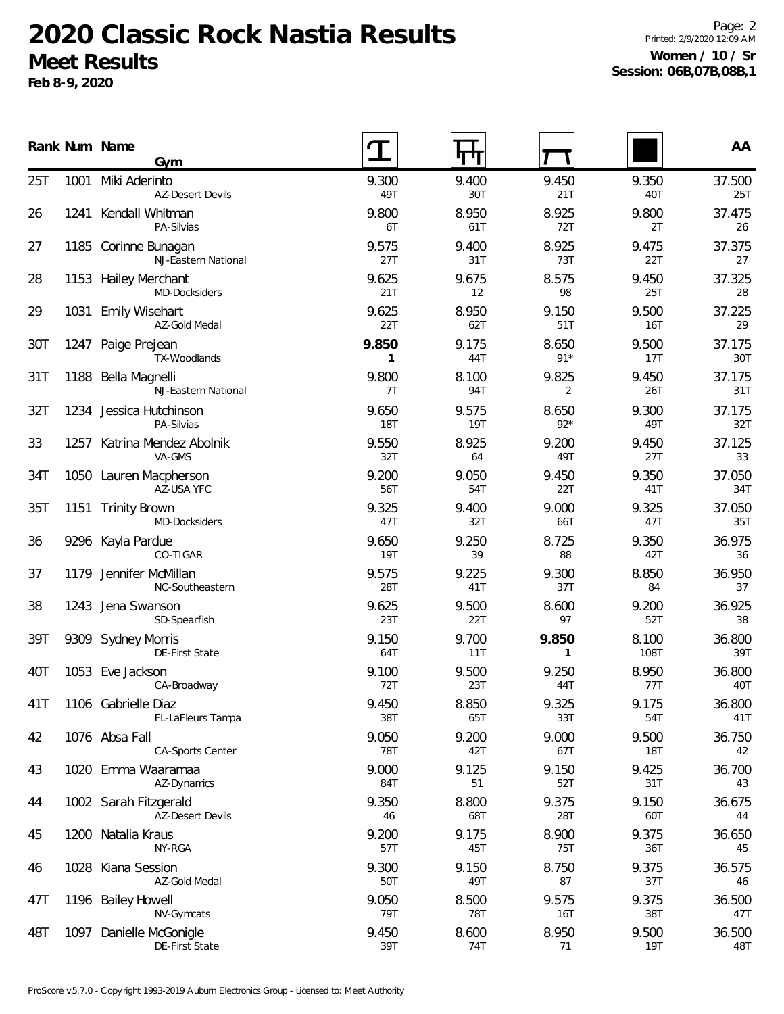**Feb 8-9, 2020**

Page: 2 Printed: 2/9/2020 12:09 AM **Women / 10 / Sr Session: 06B,07B,08B,1**

|     |      | Rank Num Name<br>Gym                             |                       | पण                  |                         |                     | AA            |
|-----|------|--------------------------------------------------|-----------------------|---------------------|-------------------------|---------------------|---------------|
| 25T | 1001 | Miki Aderinto<br><b>AZ-Desert Devils</b>         | 9.300<br>49T          | 9.400<br>30T        | 9.450<br>21T            | 9.350<br>40T        | 37.500<br>25T |
| 26  | 1241 | Kendall Whitman<br>PA-Silvias                    | 9.800<br>6T           | 8.950<br>61T        | 8.925<br>72T            | 9.800<br>2T         | 37.475<br>26  |
| 27  |      | 1185 Corinne Bunagan<br>NJ-Eastern National      | 9.575<br>27T          | 9.400<br>31T        | 8.925<br><b>73T</b>     | 9.475<br>22T        | 37.375<br>27  |
| 28  |      | 1153 Hailey Merchant<br>MD-Docksiders            | 9.625<br>21T          | 9.675<br>12         | 8.575<br>98             | 9.450<br>25T        | 37.325<br>28  |
| 29  | 1031 | Emily Wisehart<br>AZ-Gold Medal                  | 9.625<br>22T          | 8.950<br>62T        | 9.150<br>51T            | 9.500<br><b>16T</b> | 37.225<br>29  |
| 30T | 1247 | Paige Prejean<br>TX-Woodlands                    | 9.850<br>$\mathbf{1}$ | 9.175<br>44T        | 8.650<br>$91*$          | 9.500<br>17T        | 37.175<br>30T |
| 31T | 1188 | Bella Magnelli<br>NJ-Eastern National            | 9.800<br>7T           | 8.100<br>94T        | 9.825<br>$\overline{2}$ | 9.450<br>26T        | 37.175<br>31T |
| 32T |      | 1234 Jessica Hutchinson<br>PA-Silvias            | 9.650<br><b>18T</b>   | 9.575<br><b>19T</b> | 8.650<br>$92*$          | 9.300<br>49T        | 37.175<br>32T |
| 33  | 1257 | Katrina Mendez Abolnik<br>VA-GMS                 | 9.550<br>32T          | 8.925<br>64         | 9.200<br>49T            | 9.450<br>27T        | 37.125<br>33  |
| 34T |      | 1050 Lauren Macpherson<br>AZ-USA YFC             | 9.200<br>56T          | 9.050<br>54T        | 9.450<br>22T            | 9.350<br>41T        | 37.050<br>34T |
| 35T | 1151 | <b>Trinity Brown</b><br>MD-Docksiders            | 9.325<br>47T          | 9.400<br>32T        | 9.000<br>66T            | 9.325<br>47T        | 37.050<br>35T |
| 36  |      | 9296 Kayla Pardue<br>CO-TIGAR                    | 9.650<br><b>19T</b>   | 9.250<br>39         | 8.725<br>88             | 9.350<br>42T        | 36.975<br>36  |
| 37  | 1179 | Jennifer McMillan<br>NC-Southeastern             | 9.575<br>28T          | 9.225<br>41T        | 9.300<br>37T            | 8.850<br>84         | 36.950<br>37  |
| 38  | 1243 | Jena Swanson<br>SD-Spearfish                     | 9.625<br>23T          | 9.500<br>22T        | 8.600<br>97             | 9.200<br>52T        | 36.925<br>38  |
| 39T |      | 9309 Sydney Morris<br>DE-First State             | 9.150<br>64T          | 9.700<br>11T        | 9.850<br>$\mathbf{1}$   | 8.100<br>108T       | 36.800<br>39T |
| 40T | 1053 | Eve Jackson<br>CA-Broadway                       | 9.100<br>72T          | 9.500<br>23T        | 9.250<br>44T            | 8.950<br>77T        | 36.800<br>40T |
| 41T |      | 1106 Gabrielle Diaz<br>FL-LaFleurs Tampa         | 9.450<br>38T          | 8.850<br>65 I       | 9.325<br>33T            | 9.175<br>54T        | 36.800<br>41T |
| 42  |      | 1076 Absa Fall<br><b>CA-Sports Center</b>        | 9.050<br>78T          | 9.200<br>42T        | 9.000<br>67T            | 9.500<br>18T        | 36.750<br>42  |
| 43  |      | 1020 Emma Waaramaa<br>AZ-Dynamics                | 9.000<br>84T          | 9.125<br>51         | 9.150<br>52T            | 9.425<br>31T        | 36.700<br>43  |
| 44  |      | 1002 Sarah Fitzgerald<br><b>AZ-Desert Devils</b> | 9.350<br>46           | 8.800<br>68T        | 9.375<br>28T            | 9.150<br>60T        | 36.675<br>44  |
| 45  |      | 1200 Natalia Kraus<br>NY-RGA                     | 9.200<br>57T          | 9.175<br>45T        | 8.900<br>75T            | 9.375<br>36T        | 36.650<br>45  |
| 46  | 1028 | Kiana Session<br>AZ-Gold Medal                   | 9.300<br>50T          | 9.150<br>49T        | 8.750<br>87             | 9.375<br>37T        | 36.575<br>46  |
| 47T | 1196 | <b>Bailey Howell</b><br>NV-Gymcats               | 9.050<br>79T          | 8.500<br><b>78T</b> | 9.575<br>16T            | 9.375<br>38T        | 36.500<br>47T |
| 48T | 1097 | Danielle McGonigle<br>DE-First State             | 9.450<br>39T          | 8.600<br>74T        | 8.950<br>71             | 9.500<br>19T        | 36.500<br>48T |
|     |      |                                                  |                       |                     |                         |                     |               |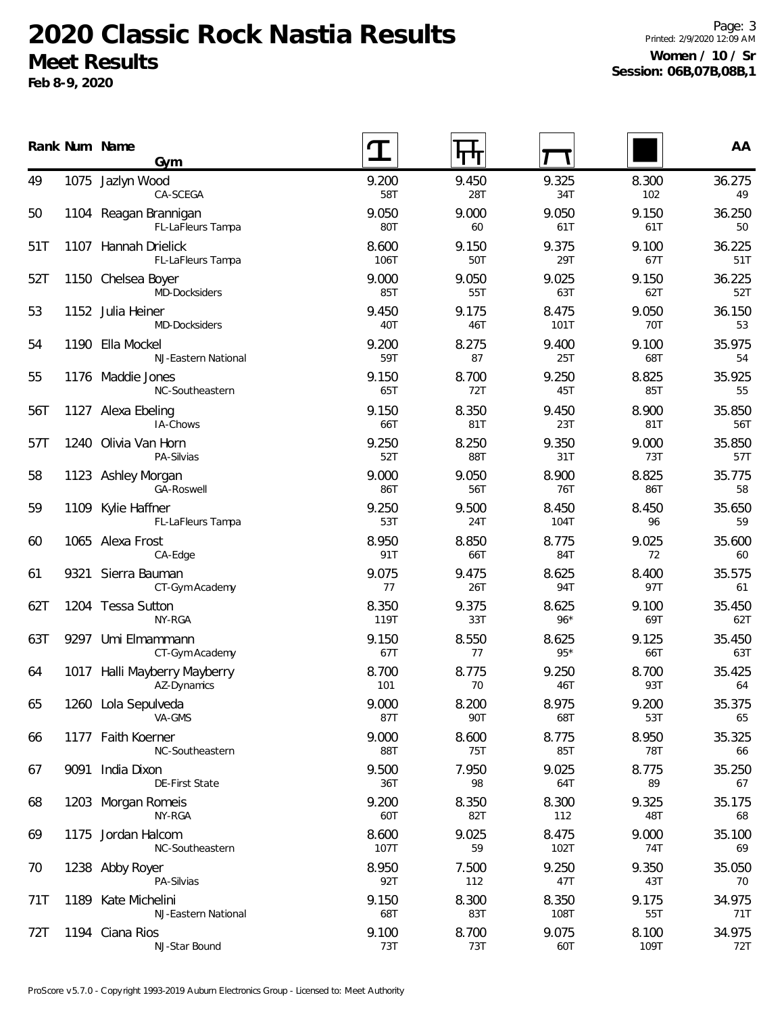**Feb 8-9, 2020**

Page: 3 Printed: 2/9/2020 12:09 AM **Women / 10 / Sr Session: 06B,07B,08B,1**

|     |      | Rank Num Name<br>Gym                        |               | पाप          |                |               | AA            |
|-----|------|---------------------------------------------|---------------|--------------|----------------|---------------|---------------|
| 49  |      | 1075 Jazlyn Wood<br>CA-SCEGA                | 9.200<br>58T  | 9.450<br>28T | 9.325<br>34T   | 8.300<br>102  | 36.275<br>49  |
| 50  |      | 1104 Reagan Brannigan<br>FL-LaFleurs Tampa  | 9.050<br>80T  | 9.000<br>60  | 9.050<br>61T   | 9.150<br>61T  | 36.250<br>50  |
| 51T | 1107 | Hannah Drielick<br>FL-LaFleurs Tampa        | 8.600<br>106T | 9.150<br>50T | 9.375<br>29T   | 9.100<br>67T  | 36.225<br>51T |
| 52T |      | 1150 Chelsea Boyer<br>MD-Docksiders         | 9.000<br>85T  | 9.050<br>55T | 9.025<br>63T   | 9.150<br>62T  | 36.225<br>52T |
| 53  |      | 1152 Julia Heiner<br>MD-Docksiders          | 9.450<br>40T  | 9.175<br>46T | 8.475<br>101T  | 9.050<br>70T  | 36.150<br>53  |
| 54  |      | 1190 Ella Mockel<br>NJ-Eastern National     | 9.200<br>59T  | 8.275<br>87  | 9.400<br>25T   | 9.100<br>68T  | 35.975<br>54  |
| 55  |      | 1176 Maddie Jones<br>NC-Southeastern        | 9.150<br>65T  | 8.700<br>72T | 9.250<br>45T   | 8.825<br>85T  | 35.925<br>55  |
| 56T |      | 1127 Alexa Ebeling<br>IA-Chows              | 9.150<br>66T  | 8.350<br>81T | 9.450<br>23T   | 8.900<br>81T  | 35.850<br>56T |
| 57T |      | 1240 Olivia Van Horn<br>PA-Silvias          | 9.250<br>52T  | 8.250<br>88T | 9.350<br>31T   | 9.000<br>73T  | 35.850<br>57T |
| 58  |      | 1123 Ashley Morgan<br>GA-Roswell            | 9.000<br>86T  | 9.050<br>56T | 8.900<br>76T   | 8.825<br>86T  | 35.775<br>58  |
| 59  |      | 1109 Kylie Haffner<br>FL-LaFleurs Tampa     | 9.250<br>53T  | 9.500<br>24T | 8.450<br>104T  | 8.450<br>96   | 35.650<br>59  |
| 60  |      | 1065 Alexa Frost<br>CA-Edge                 | 8.950<br>91T  | 8.850<br>66T | 8.775<br>84T   | 9.025<br>72   | 35.600<br>60  |
| 61  |      | 9321 Sierra Bauman<br>CT-Gym Academy        | 9.075<br>77   | 9.475<br>26T | 8.625<br>94T   | 8.400<br>97T  | 35.575<br>61  |
| 62T |      | 1204 Tessa Sutton<br>NY-RGA                 | 8.350<br>119T | 9.375<br>33T | 8.625<br>$96*$ | 9.100<br>69T  | 35.450<br>62T |
| 63T | 9297 | Umi Elmammann<br>CT-Gym Academy             | 9.150<br>67T  | 8.550<br>77  | 8.625<br>$95*$ | 9.125<br>66T  | 35.450<br>63T |
| 64  |      | 1017 Halli Mayberry Mayberry<br>AZ-Dynamics | 8.700<br>101  | 8.775<br>70  | 9.250<br>46T   | 8.700<br>93T  | 35.425<br>64  |
| 65  |      | 1260 Lola Sepulveda<br>VA-GMS               | 9.000<br>87T  | 8.200<br>90T | 8.975<br>68T   | 9.200<br>53T  | 35.375<br>65  |
| 66  |      | 1177 Faith Koerner<br>NC-Southeastern       | 9.000<br>88T  | 8.600<br>75T | 8.775<br>85T   | 8.950<br>78T  | 35.325<br>66  |
| 67  | 9091 | India Dixon<br>DE-First State               | 9.500<br>36T  | 7.950<br>98  | 9.025<br>64T   | 8.775<br>89   | 35.250<br>67  |
| 68  |      | 1203 Morgan Romeis<br>NY-RGA                | 9.200<br>60T  | 8.350<br>82T | 8.300<br>112   | 9.325<br>48T  | 35.175<br>68  |
| 69  |      | 1175 Jordan Halcom<br>NC-Southeastern       | 8.600<br>107T | 9.025<br>59  | 8.475<br>102T  | 9.000<br>74T  | 35.100<br>69  |
| 70  |      | 1238 Abby Royer<br>PA-Silvias               | 8.950<br>92T  | 7.500<br>112 | 9.250<br>47T   | 9.350<br>43T  | 35.050<br>70  |
| 71T |      | 1189 Kate Michelini<br>NJ-Eastern National  | 9.150<br>68T  | 8.300<br>83T | 8.350<br>108T  | 9.175<br>55T  | 34.975<br>71T |
| 72T |      | 1194 Ciana Rios<br>NJ-Star Bound            | 9.100<br>73T  | 8.700<br>73T | 9.075<br>60T   | 8.100<br>109T | 34.975<br>72T |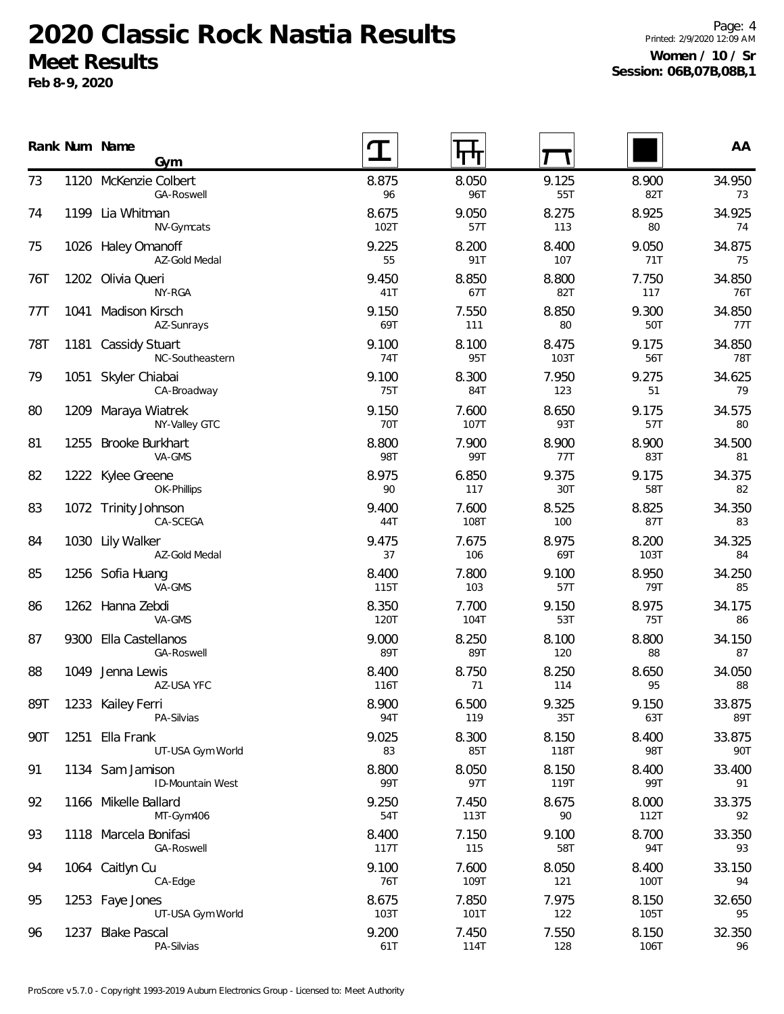**Feb 8-9, 2020**

Page: 4 Printed: 2/9/2020 12:09 AM **Women / 10 / Sr Session: 06B,07B,08B,1**

|     |      | Rank Num Name<br>Gym                     |                     |               |               |               | AA            |
|-----|------|------------------------------------------|---------------------|---------------|---------------|---------------|---------------|
| 73  |      | 1120 McKenzie Colbert<br>GA-Roswell      | 8.875<br>96         | 8.050<br>96T  | 9.125<br>55T  | 8.900<br>82T  | 34.950<br>73  |
| 74  |      | 1199 Lia Whitman<br>NV-Gymcats           | 8.675<br>102T       | 9.050<br>57T  | 8.275<br>113  | 8.925<br>80   | 34.925<br>74  |
| 75  |      | 1026 Haley Omanoff<br>AZ-Gold Medal      | 9.225<br>55         | 8.200<br>91T  | 8.400<br>107  | 9.050<br>71T  | 34.875<br>75  |
| 76T |      | 1202 Olivia Queri<br>NY-RGA              | 9.450<br>41T        | 8.850<br>67T  | 8.800<br>82T  | 7.750<br>117  | 34.850<br>76T |
| 77T | 1041 | Madison Kirsch<br>AZ-Sunrays             | 9.150<br>69T        | 7.550<br>111  | 8.850<br>80   | 9.300<br>50T  | 34.850<br>77T |
| 78T | 1181 | <b>Cassidy Stuart</b><br>NC-Southeastern | 9.100<br>74T        | 8.100<br>95T  | 8.475<br>103T | 9.175<br>56T  | 34.850<br>78T |
| 79  | 1051 | Skyler Chiabai<br>CA-Broadway            | 9.100<br>75T        | 8.300<br>84T  | 7.950<br>123  | 9.275<br>51   | 34.625<br>79  |
| 80  | 1209 | Maraya Wiatrek<br>NY-Valley GTC          | 9.150<br><b>70T</b> | 7.600<br>107T | 8.650<br>93T  | 9.175<br>57T  | 34.575<br>80  |
| 81  | 1255 | <b>Brooke Burkhart</b><br>VA-GMS         | 8.800<br><b>98T</b> | 7.900<br>99T  | 8.900<br>77T  | 8.900<br>83T  | 34.500<br>81  |
| 82  |      | 1222 Kylee Greene<br>OK-Phillips         | 8.975<br>90         | 6.850<br>117  | 9.375<br>30T  | 9.175<br>58T  | 34.375<br>82  |
| 83  |      | 1072 Trinity Johnson<br>CA-SCEGA         | 9.400<br>44T        | 7.600<br>108T | 8.525<br>100  | 8.825<br>87T  | 34.350<br>83  |
| 84  |      | 1030 Lily Walker<br>AZ-Gold Medal        | 9.475<br>37         | 7.675<br>106  | 8.975<br>69T  | 8.200<br>103T | 34.325<br>84  |
| 85  |      | 1256 Sofia Huang<br>VA-GMS               | 8.400<br>115T       | 7.800<br>103  | 9.100<br>57T  | 8.950<br>79T  | 34.250<br>85  |
| 86  |      | 1262 Hanna Zebdi<br>VA-GMS               | 8.350<br>120T       | 7.700<br>104T | 9.150<br>53T  | 8.975<br>75T  | 34.175<br>86  |
| 87  |      | 9300 Ella Castellanos<br>GA-Roswell      | 9.000<br>89T        | 8.250<br>89T  | 8.100<br>120  | 8.800<br>88   | 34.150<br>87  |
| 88  | 1049 | Jenna Lewis<br>AZ-USA YFC                | 8.400<br>116T       | 8.750<br>71   | 8.250<br>114  | 8.650<br>95   | 34.050<br>88  |
| 89T |      | 1233 Kailey Ferri<br>PA-Silvias          | 8.900<br>94T        | 6.500<br>119  | 9.325<br>35T  | 9.150<br>63T  | 33.875<br>89T |
| 90T | 1251 | Ella Frank<br>UT-USA Gym World           | 9.025<br>83         | 8.300<br>85T  | 8.150<br>118T | 8.400<br>98T  | 33.875<br>90T |
| 91  |      | 1134 Sam Jamison<br>ID-Mountain West     | 8.800<br>99T        | 8.050<br>97T  | 8.150<br>119T | 8.400<br>99T  | 33.400<br>91  |
| 92  |      | 1166 Mikelle Ballard<br>MT-Gym406        | 9.250<br>54T        | 7.450<br>113T | 8.675<br>90   | 8.000<br>112T | 33.375<br>92  |
| 93  |      | 1118 Marcela Bonifasi<br>GA-Roswell      | 8.400<br>117T       | 7.150<br>115  | 9.100<br>58T  | 8.700<br>94T  | 33.350<br>93  |
| 94  |      | 1064 Caitlyn Cu<br>CA-Edge               | 9.100<br>76T        | 7.600<br>109T | 8.050<br>121  | 8.400<br>100T | 33.150<br>94  |
| 95  |      | 1253 Faye Jones<br>UT-USA Gym World      | 8.675<br>103T       | 7.850<br>101T | 7.975<br>122  | 8.150<br>105T | 32.650<br>95  |
| 96  | 1237 | <b>Blake Pascal</b><br>PA-Silvias        | 9.200<br>61T        | 7.450<br>114T | 7.550<br>128  | 8.150<br>106T | 32.350<br>96  |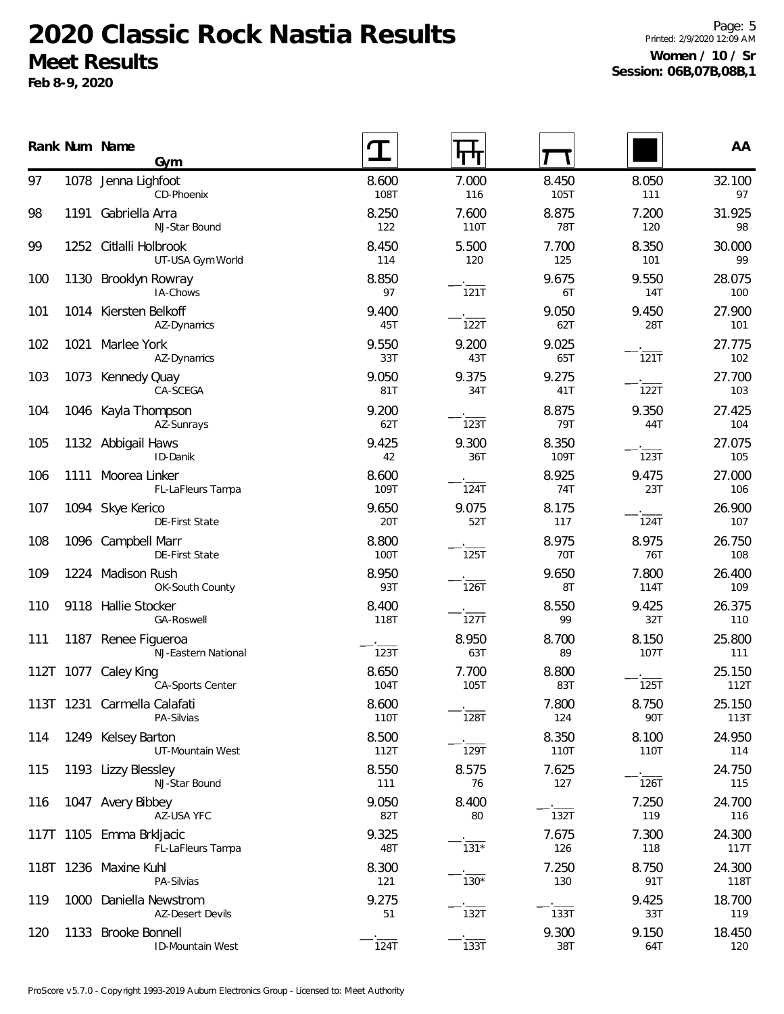**Feb 8-9, 2020**

Page: 5 Printed: 2/9/2020 12:09 AM **Women / 10 / Sr Session: 06B,07B,08B,1**

|     |           | Rank Num Name<br>Gym                          |               | पाग           |                     |               | AA             |
|-----|-----------|-----------------------------------------------|---------------|---------------|---------------------|---------------|----------------|
| 97  |           | 1078 Jenna Lighfoot<br>CD-Phoenix             | 8.600<br>108T | 7.000<br>116  | 8.450<br>105T       | 8.050<br>111  | 32.100<br>97   |
| 98  | 1191      | Gabriella Arra<br>NJ-Star Bound               | 8.250<br>122  | 7.600<br>110T | 8.875<br><b>78T</b> | 7.200<br>120  | 31.925<br>98   |
| 99  |           | 1252 Citlalli Holbrook<br>UT-USA Gym World    | 8.450<br>114  | 5.500<br>120  | 7.700<br>125        | 8.350<br>101  | 30.000<br>99   |
| 100 | 1130      | Brooklyn Rowray<br>IA-Chows                   | 8.850<br>97   | 121T          | 9.675<br>6T         | 9.550<br>14T  | 28.075<br>100  |
| 101 |           | 1014 Kiersten Belkoff<br>AZ-Dynamics          | 9.400<br>45T  | 122T          | 9.050<br>62T        | 9.450<br>28T  | 27.900<br>101  |
| 102 | 1021      | Marlee York<br>AZ-Dynamics                    | 9.550<br>33T  | 9.200<br>43T  | 9.025<br>65T        | 121T          | 27.775<br>102  |
| 103 | 1073      | Kennedy Quay<br>CA-SCEGA                      | 9.050<br>81T  | 9.375<br>34T  | 9.275<br>41T        | 122T          | 27.700<br>103  |
| 104 |           | 1046 Kayla Thompson<br>AZ-Sunrays             | 9.200<br>62T  | 123T          | 8.875<br>79T        | 9.350<br>44T  | 27.425<br>104  |
| 105 |           | 1132 Abbigail Haws<br>ID-Danik                | 9.425<br>42   | 9.300<br>36T  | 8.350<br>109T       | 123T          | 27.075<br>105  |
| 106 |           | 1111 Moorea Linker<br>FL-LaFleurs Tampa       | 8.600<br>109T | 124T          | 8.925<br>74T        | 9.475<br>23T  | 27.000<br>106  |
| 107 |           | 1094 Skye Kerico<br>DE-First State            | 9.650<br>20T  | 9.075<br>52T  | 8.175<br>117        | 124T          | 26.900<br>107  |
| 108 |           | 1096 Campbell Marr<br>DE-First State          | 8.800<br>100T | <b>125T</b>   | 8.975<br>70T        | 8.975<br>76T  | 26.750<br>108  |
| 109 |           | 1224 Madison Rush<br>OK-South County          | 8.950<br>93T  | 126T          | 9.650<br>8T         | 7.800<br>114T | 26.400<br>109  |
| 110 |           | 9118 Hallie Stocker<br>GA-Roswell             | 8.400<br>118T | 127T          | 8.550<br>99         | 9.425<br>32T  | 26.375<br>110  |
| 111 | 1187      | Renee Figueroa<br>NJ-Eastern National         | 123T          | 8.950<br>63T  | 8.700<br>89         | 8.150<br>107T | 25.800<br>111  |
|     | 112T 1077 | Caley King<br><b>CA-Sports Center</b>         | 8.650<br>104T | 7.700<br>105T | 8.800<br>83T        | 125T          | 25.150<br>112T |
|     | 113T 1231 | Carmella Calafati<br>PA-Silvias               | 8.600<br>110T | 128T          | 7.800<br>124        | 8.750<br>90T  | 25.150<br>113T |
| 114 | 1249      | <b>Kelsey Barton</b><br>UT-Mountain West      | 8.500<br>112T | 129T          | 8.350<br>110T       | 8.100<br>110T | 24.950<br>114  |
| 115 |           | 1193 Lizzy Blessley<br>NJ-Star Bound          | 8.550<br>111  | 8.575<br>76   | 7.625<br>127        | 126T          | 24.750<br>115  |
| 116 |           | 1047 Avery Bibbey<br>AZ-USA YFC               | 9.050<br>82T  | 8.400<br>80   | 132T                | 7.250<br>119  | 24.700<br>116  |
|     |           | 117T 1105 Emma Brkljacic<br>FL-LaFleurs Tampa | 9.325<br>48T  | $131*$        | 7.675<br>126        | 7.300<br>118  | 24.300<br>117T |
|     |           | 118T 1236 Maxine Kuhl<br>PA-Silvias           | 8.300<br>121  | $130*$        | 7.250<br>130        | 8.750<br>91T  | 24.300<br>118T |
| 119 | 1000      | Daniella Newstrom<br><b>AZ-Desert Devils</b>  | 9.275<br>51   | 132T          | 133T                | 9.425<br>33T  | 18.700<br>119  |
| 120 |           | 1133 Brooke Bonnell<br>ID-Mountain West       | 124T          | 133T          | 9.300<br>38T        | 9.150<br>64T  | 18.450<br>120  |